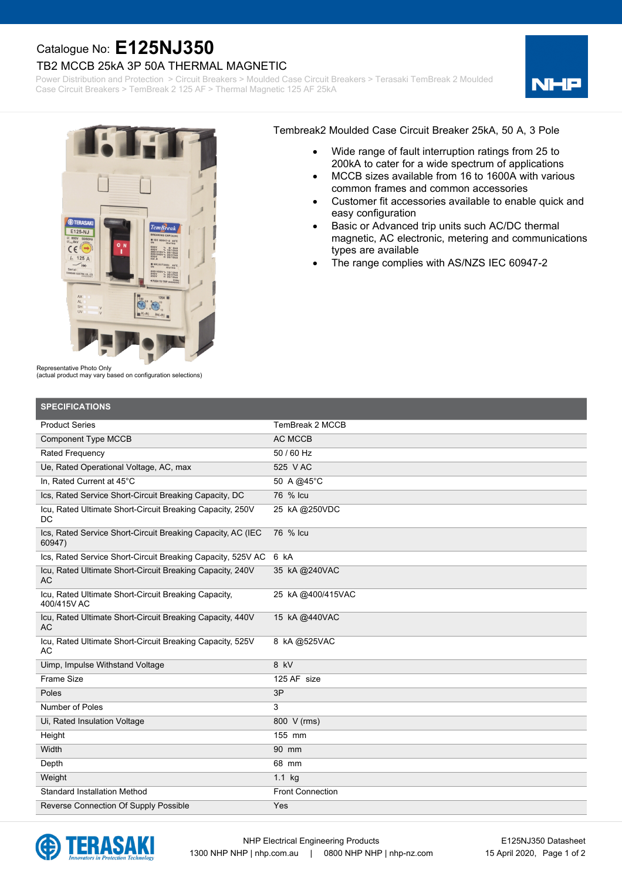## Catalogue No: **E125NJ350**

## TB2 MCCB 25kA 3P 50A THERMAL MAGNETIC

Power Distribution and Protection > Circuit Breakers > Moulded Case Circuit Breakers > Terasaki TemBreak 2 Moulded Case Circuit Breakers > TemBreak 2 125 AF > Thermal Magnetic 125 AF 25kA





Tembreak2 Moulded Case Circuit Breaker 25kA, 50 A, 3 Pole

- · Wide range of fault interruption ratings from 25 to 200kA to cater for a wide spectrum of applications
- MCCB sizes available from 16 to 1600A with various common frames and common accessories
- Customer fit accessories available to enable quick and easy configuration
- Basic or Advanced trip units such AC/DC thermal magnetic, AC electronic, metering and communications types are available
- The range complies with AS/NZS IEC 60947-2

Representative Photo Only

(actual product may vary based on configuration selections)

| <b>SPECIFICATIONS</b>                                                  |                         |
|------------------------------------------------------------------------|-------------------------|
| <b>Product Series</b>                                                  | TemBreak 2 MCCB         |
| <b>Component Type MCCB</b>                                             | <b>AC MCCB</b>          |
| Rated Frequency                                                        | 50 / 60 Hz              |
| Ue, Rated Operational Voltage, AC, max                                 | 525 V AC                |
| In. Rated Current at 45°C                                              | 50 A @45°C              |
| Ics, Rated Service Short-Circuit Breaking Capacity, DC                 | 76 % Icu                |
| Icu, Rated Ultimate Short-Circuit Breaking Capacity, 250V<br>DC        | 25 kA @250VDC           |
| Ics, Rated Service Short-Circuit Breaking Capacity, AC (IEC<br>60947)  | 76 % Icu                |
| Ics, Rated Service Short-Circuit Breaking Capacity, 525V AC            | 6 kA                    |
| Icu, Rated Ultimate Short-Circuit Breaking Capacity, 240V<br>AC        | 35 kA @240VAC           |
| Icu, Rated Ultimate Short-Circuit Breaking Capacity,<br>400/415V AC    | 25 KA @400/415VAC       |
| Icu, Rated Ultimate Short-Circuit Breaking Capacity, 440V<br><b>AC</b> | 15 kA @440VAC           |
| Icu, Rated Ultimate Short-Circuit Breaking Capacity, 525V<br>АC        | 8 kA@525VAC             |
| Uimp, Impulse Withstand Voltage                                        | 8 kV                    |
| <b>Frame Size</b>                                                      | 125 AF size             |
| Poles                                                                  | 3P                      |
| Number of Poles                                                        | 3                       |
| Ui, Rated Insulation Voltage                                           | 800 V (rms)             |
| Height                                                                 | 155 mm                  |
| Width                                                                  | 90 mm                   |
| Depth                                                                  | 68 mm                   |
| Weight                                                                 | $1.1$ kg                |
| <b>Standard Installation Method</b>                                    | <b>Front Connection</b> |
| Reverse Connection Of Supply Possible                                  | Yes                     |